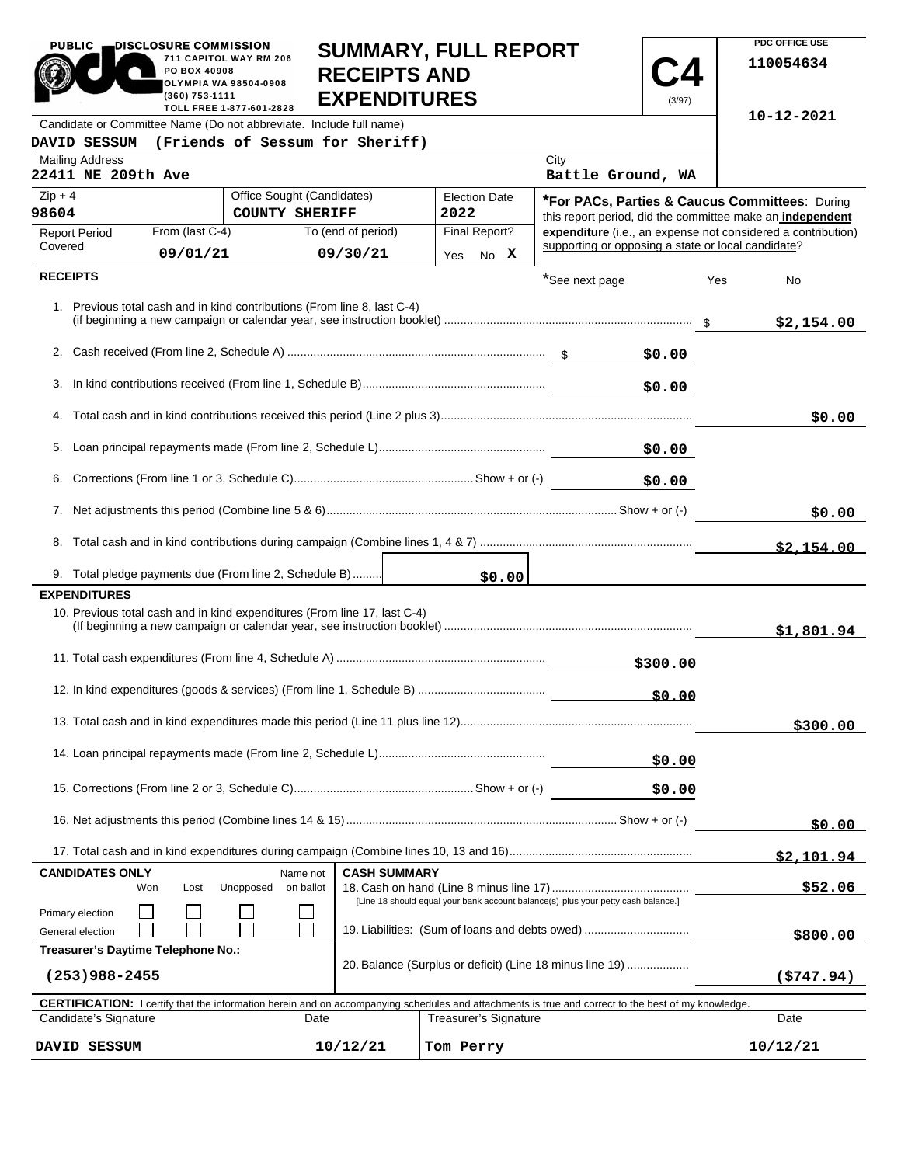| <b>PUBLIC</b>                                                                                                                                       | DISCLOSURE COMMISSION<br>PO BOX 40908<br>(360) 753-1111 | 711 CAPITOL WAY RM 206<br><b>OLYMPIA WA 98504-0908</b><br>TOLL FREE 1-877-601-2828 | <b>SUMMARY, FULL REPORT</b><br><b>RECEIPTS AND</b><br><b>EXPENDITURES</b> |                     |           |                              |                                                                                   | (3/97)     |     | PDC OFFICE USE<br>110054634                                                                                 |
|-----------------------------------------------------------------------------------------------------------------------------------------------------|---------------------------------------------------------|------------------------------------------------------------------------------------|---------------------------------------------------------------------------|---------------------|-----------|------------------------------|-----------------------------------------------------------------------------------|------------|-----|-------------------------------------------------------------------------------------------------------------|
| Candidate or Committee Name (Do not abbreviate. Include full name)                                                                                  |                                                         |                                                                                    |                                                                           |                     |           |                              |                                                                                   |            |     | 10-12-2021                                                                                                  |
| DAVID SESSUM                                                                                                                                        |                                                         |                                                                                    | (Friends of Sessum for Sheriff)                                           |                     |           |                              |                                                                                   |            |     |                                                                                                             |
| <b>Mailing Address</b><br>22411 NE 209th Ave                                                                                                        |                                                         |                                                                                    |                                                                           |                     |           |                              | City<br>Battle Ground, WA                                                         |            |     |                                                                                                             |
| $Zip + 4$<br>98604                                                                                                                                  |                                                         | <b>COUNTY SHERIFF</b>                                                              | Office Sought (Candidates)                                                |                     | 2022      | <b>Election Date</b>         |                                                                                   |            |     | *For PACs, Parties & Caucus Committees: During<br>this report period, did the committee make an independent |
| <b>Report Period</b>                                                                                                                                | From (last C-4)                                         |                                                                                    | To (end of period)                                                        |                     |           | Final Report?                |                                                                                   |            |     | expenditure (i.e., an expense not considered a contribution)                                                |
| Covered                                                                                                                                             | 09/01/21                                                |                                                                                    | 09/30/21                                                                  |                     |           | Yes No X                     | supporting or opposing a state or local candidate?                                |            |     |                                                                                                             |
| <b>RECEIPTS</b>                                                                                                                                     |                                                         |                                                                                    |                                                                           |                     |           |                              | *See next page                                                                    |            | Yes | No                                                                                                          |
| 1. Previous total cash and in kind contributions (From line 8, last C-4)                                                                            |                                                         |                                                                                    |                                                                           |                     |           |                              |                                                                                   |            |     | \$2,154.00                                                                                                  |
|                                                                                                                                                     |                                                         |                                                                                    |                                                                           |                     |           |                              |                                                                                   | \$0.00     |     |                                                                                                             |
|                                                                                                                                                     |                                                         |                                                                                    |                                                                           |                     |           |                              |                                                                                   | \$0.00     |     |                                                                                                             |
|                                                                                                                                                     |                                                         |                                                                                    |                                                                           |                     |           |                              |                                                                                   |            |     | \$0.00                                                                                                      |
|                                                                                                                                                     |                                                         |                                                                                    |                                                                           |                     |           |                              |                                                                                   |            |     |                                                                                                             |
|                                                                                                                                                     |                                                         |                                                                                    |                                                                           |                     |           |                              |                                                                                   | \$0.00     |     |                                                                                                             |
|                                                                                                                                                     |                                                         |                                                                                    |                                                                           |                     |           |                              |                                                                                   | \$0.00     |     |                                                                                                             |
|                                                                                                                                                     |                                                         |                                                                                    |                                                                           |                     |           |                              |                                                                                   |            |     | \$0.00                                                                                                      |
|                                                                                                                                                     |                                                         |                                                                                    |                                                                           |                     |           |                              |                                                                                   |            |     | \$2.154.00                                                                                                  |
| 9. Total pledge payments due (From line 2, Schedule B)                                                                                              |                                                         |                                                                                    |                                                                           |                     |           | \$0.00                       |                                                                                   |            |     |                                                                                                             |
| <b>EXPENDITURES</b>                                                                                                                                 |                                                         |                                                                                    |                                                                           |                     |           |                              |                                                                                   |            |     |                                                                                                             |
| 10. Previous total cash and in kind expenditures (From line 17, last C-4)                                                                           |                                                         |                                                                                    |                                                                           |                     |           |                              |                                                                                   |            |     | \$1,801.94                                                                                                  |
|                                                                                                                                                     |                                                         |                                                                                    |                                                                           |                     |           |                              |                                                                                   | \$300.00   |     |                                                                                                             |
|                                                                                                                                                     |                                                         |                                                                                    |                                                                           |                     |           |                              |                                                                                   |            |     |                                                                                                             |
|                                                                                                                                                     |                                                         |                                                                                    |                                                                           |                     |           |                              |                                                                                   |            |     | \$300.00                                                                                                    |
|                                                                                                                                                     |                                                         |                                                                                    |                                                                           |                     |           |                              |                                                                                   | \$0.00     |     |                                                                                                             |
|                                                                                                                                                     |                                                         |                                                                                    |                                                                           |                     |           |                              |                                                                                   | \$0.00     |     |                                                                                                             |
|                                                                                                                                                     |                                                         |                                                                                    |                                                                           |                     |           | \$0.00                       |                                                                                   |            |     |                                                                                                             |
|                                                                                                                                                     |                                                         |                                                                                    |                                                                           |                     |           |                              |                                                                                   | \$2,101.94 |     |                                                                                                             |
| <b>CANDIDATES ONLY</b><br>Won                                                                                                                       | Lost                                                    | Unopposed                                                                          | Name not<br>on ballot                                                     | <b>CASH SUMMARY</b> |           |                              |                                                                                   |            |     | \$52.06                                                                                                     |
| Primary election                                                                                                                                    |                                                         |                                                                                    |                                                                           |                     |           |                              | [Line 18 should equal your bank account balance(s) plus your petty cash balance.] |            |     |                                                                                                             |
| General election                                                                                                                                    |                                                         |                                                                                    |                                                                           |                     |           |                              | 19. Liabilities: (Sum of loans and debts owed)                                    |            |     | \$800.00                                                                                                    |
| Treasurer's Daytime Telephone No.:<br>$(253)988 - 2455$                                                                                             |                                                         |                                                                                    |                                                                           |                     |           |                              | 20. Balance (Surplus or deficit) (Line 18 minus line 19)                          |            |     | (\$747.94)                                                                                                  |
| CERTIFICATION: I certify that the information herein and on accompanying schedules and attachments is true and correct to the best of my knowledge. |                                                         |                                                                                    |                                                                           |                     |           |                              |                                                                                   |            |     |                                                                                                             |
| Candidate's Signature                                                                                                                               |                                                         |                                                                                    | Date                                                                      |                     |           | <b>Treasurer's Signature</b> |                                                                                   |            |     | Date                                                                                                        |
| DAVID SESSUM                                                                                                                                        |                                                         |                                                                                    | 10/12/21                                                                  |                     | Tom Perry |                              |                                                                                   |            |     | 10/12/21                                                                                                    |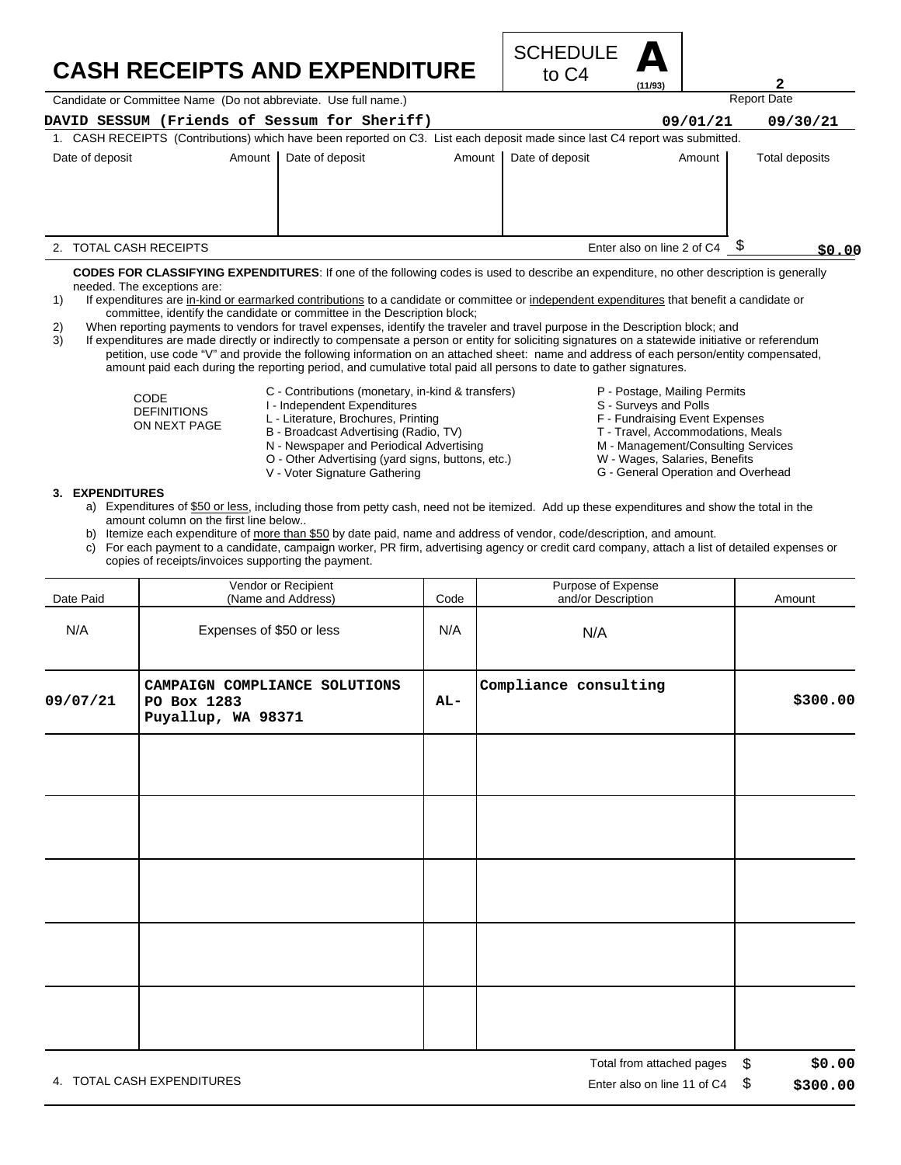## **CASH RECEIPTS AND EXPENDITURE**



Candidate or Committee Name (Do not abbreviate. Use full name.)

| DAVID SESSUM (Friends of Sessum for Sheriff) |          |                 |                                                                                                                             |                 | 09/01/21                   | 09/30/21       |
|----------------------------------------------|----------|-----------------|-----------------------------------------------------------------------------------------------------------------------------|-----------------|----------------------------|----------------|
|                                              |          |                 | 1. CASH RECEIPTS (Contributions) which have been reported on C3. List each deposit made since last C4 report was submitted. |                 |                            |                |
| Date of deposit                              | Amount I | Date of deposit | Amount                                                                                                                      | Date of deposit | Amount                     | Total deposits |
|                                              |          |                 |                                                                                                                             |                 |                            |                |
|                                              |          |                 |                                                                                                                             |                 |                            |                |
|                                              |          |                 |                                                                                                                             |                 |                            |                |
|                                              |          |                 |                                                                                                                             |                 |                            |                |
| TOTAL CASH RECEIPTS                          |          |                 |                                                                                                                             |                 | Enter also on line 2 of C4 | \$0.00         |

**CODES FOR CLASSIFYING EXPENDITURES**: If one of the following codes is used to describe an expenditure, no other description is generally needed. The exceptions are:

- 1) If expenditures are in-kind or earmarked contributions to a candidate or committee or independent expenditures that benefit a candidate or committee, identify the candidate or committee in the Description block;
- 2) When reporting payments to vendors for travel expenses, identify the traveler and travel purpose in the Description block; and

3) If expenditures are made directly or indirectly to compensate a person or entity for soliciting signatures on a statewide initiative or referendum petition, use code "V" and provide the following information on an attached sheet: name and address of each person/entity compensated, amount paid each during the reporting period, and cumulative total paid all persons to date to gather signatures.

C - Contributions (monetary, in-kind & transfers)

CODE DEFINITIONS ON NEXT PAGE

- I Independent Expenditures L - Literature, Brochures, Printing
- B Broadcast Advertising (Radio, TV)
- N Newspaper and Periodical Advertising
- O Other Advertising (yard signs, buttons, etc.)
- 
- V Voter Signature Gathering
- P Postage, Mailing Permits
- S Surveys and Polls
- F Fundraising Event Expenses
- T Travel, Accommodations, Meals
- 

Report Date

**2**

- M Management/Consulting Services W - Wages, Salaries, Benefits
- G General Operation and Overhead

- **3. EXPENDITURES**
	- a) Expenditures of \$50 or less, including those from petty cash, need not be itemized. Add up these expenditures and show the total in the amount column on the first line below..
	- b) Itemize each expenditure of more than \$50 by date paid, name and address of vendor, code/description, and amount.
	- c) For each payment to a candidate, campaign worker, PR firm, advertising agency or credit card company, attach a list of detailed expenses or copies of receipts/invoices supporting the payment.

| Date Paid | Vendor or Recipient<br>(Name and Address)                          | Code  | Purpose of Expense<br>and/or Description | Amount                 |
|-----------|--------------------------------------------------------------------|-------|------------------------------------------|------------------------|
| N/A       | Expenses of \$50 or less                                           | N/A   | N/A                                      |                        |
| 09/07/21  | CAMPAIGN COMPLIANCE SOLUTIONS<br>PO Box 1283<br>Puyallup, WA 98371 | $AL-$ | Compliance consulting                    | \$300.00               |
|           |                                                                    |       |                                          |                        |
|           |                                                                    |       |                                          |                        |
|           |                                                                    |       |                                          |                        |
|           |                                                                    |       |                                          |                        |
|           |                                                                    |       |                                          |                        |
|           |                                                                    |       | Total from attached pages                | $\mathbb{S}$<br>\$0.00 |

4. TOTAL CASH EXPENDITURES **EXAMPLE 2008** 2012 12:00 THE RISP ON LINE 2012 12:00 THE RISP ON LINE 11 Of C4 \$